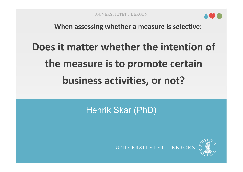

**When assessing whether a measure is selective:**

# **Does it matter whether the intention of the measure is to promote certain business activities, or not?**

Henrik Skar (PhD)



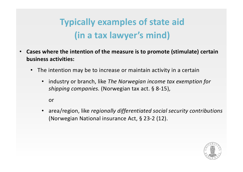## **Typically examples of state aid (in a tax lawyer's mind)**

- **Cases where the intention of the measure is to promote (stimulate) certain business activities:**
	- The intention may be to increase or maintain activity in a certain
		- industry or branch, like *The Norwegian income tax exemption for shipping companies.* (Norwegian tax act. § 8-15),

or

• area/region, like *regionally differentiated social security contributions* (Norwegian National insurance Act, § 23-2 (12).

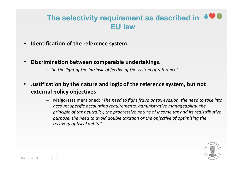#### **The selectivity requirement as described in EU law**

- **Identification of the reference system**
- **Discrimination between comparable undertakings.**
	- *"in the light of the intrinsic objective of the system of reference".*
- **Justification by the nature and logic of the reference system, but not external policy objectives** 
	- ‒ Malgorzata mentioned: "*The need to fight fraud or tax evasion, the need to take into account specific accounting requirements, administrative manageability, the principle of tax neutrality, the progressive nature of income tax and its redistributive purpose, the need to avoid double taxation or the objective of optimising the recovery of fiscal debts."*

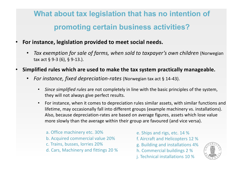### **What about tax legislation that has no intention of promoting certain business activities?**

- **For instance, legislation provided to meet social needs.**
	- *Tax exemption for sale of farms, when sold to taxpayer's own children* (Norwegian tax act § 9-3 (6), § 9-13.).
- **Simplified rules which are used to make the tax system practically manageable.**
	- *For instance, fixed depreciation-rates* (Norwegian tax act § 14-43).
		- *Since simplified rules* are not completely in line with the basic principles of the system, they will not always give perfect results.
		- For instance, when it comes to depreciation rules similar assets, with similar functions and lifetime, may occasionally fall into different groups (example machinery vs. installations). Also, because depreciation-rates are based on average figures, assets which lose value more slowly than the average within their group are favoured (and vice versa).
			- a. Office machinery etc. 30% b. Acquired commercial value 20% c. Trains, busses, lorries 20% d. Cars, Machinery and fittings 20 %
- e. Ships and rigs, etc. 14 % f. Aircraft and Helicopters 12 %
- g. Building and installations 4%
- h. Commercial buildings 2 %
- j. Technical installations 10 %

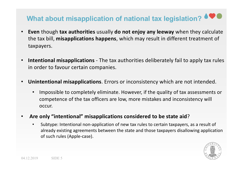#### What about misapplication of national tax legislation?  $\bullet \bullet \bullet$

- **Even** though **tax authorities** usually **do not enjoy any leeway** when they calculate the tax bill, **misapplications happens**, which may result in different treatment of taxpayers.
- **Intentional misapplications**  The tax authorities deliberately fail to apply tax rules in order to favour certain companies.
- **Unintentional misapplications**. Errors or inconsistency which are not intended.
	- Impossible to completely eliminate. However, if the quality of tax assessments or competence of the tax officers are low, more mistakes and inconsistency will occur.
- **Are only "intentional" misapplications considered to be state aid**?
	- Subtype: Intentional non-application of new tax rules to certain taxpayers, as a result of already existing agreements between the state and those taxpayers disallowing application of such rules (Apple-case).